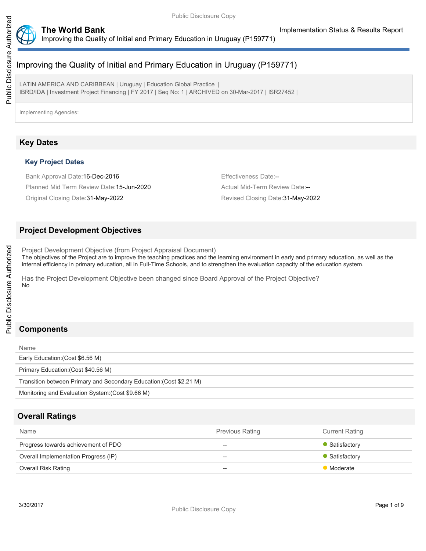

LATIN AMERICA AND CARIBBEAN | Uruguay | Education Global Practice | IBRD/IDA | Investment Project Financing | FY 2017 | Seq No: 1 | ARCHIVED on 30-Mar-2017 | ISR27452 |

Implementing Agencies:

## **Key Dates**

#### **Key Project Dates**

Bank Approval Date: 16-Dec-2016 **Effectiveness** Date:--Planned Mid Term Review Date: 15-Jun-2020 Actual Mid-Term Review Date:--

Original Closing Date:31-May-2022 Revised Closing Date:31-May-2022

## **Project Development Objectives**

Project Development Objective (from Project Appraisal Document) The objectives of the Project are to improve the teaching practices and the learning environment in early and primary education, as well as the internal efficiency in primary education, all in Full-Time Schools, and to strengthen the evaluation capacity of the education system.

Has the Project Development Objective been changed since Board Approval of the Project Objective? No

Public Disclosure Authorized

Public Disclosure Authorized

| <b>Name</b>                                                         |
|---------------------------------------------------------------------|
| Early Education: (Cost \$6.56 M)                                    |
| Primary Education: (Cost \$40.56 M)                                 |
| Transition between Primary and Secondary Education: (Cost \$2.21 M) |
| Monitoring and Evaluation System: (Cost \$9.66 M)                   |
|                                                                     |

## **Overall Ratings**

| Name                                 | <b>Previous Rating</b>   | <b>Current Rating</b> |
|--------------------------------------|--------------------------|-----------------------|
| Progress towards achievement of PDO  | $\hspace{0.05cm}$        | • Satisfactory        |
| Overall Implementation Progress (IP) | $- -$                    | • Satisfactory        |
| <b>Overall Risk Rating</b>           | $\overline{\phantom{a}}$ | Moderate              |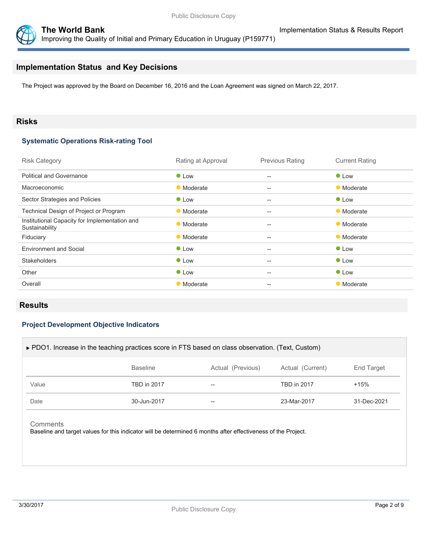

## **Implementation Status and Key Decisions**

The Project was approved by the Board on December 16, 2016 and the Loan Agreement was signed on March 22, 2017.

#### **Risks**

#### **Systematic Operations Risk-rating Tool**

| <b>Risk Category</b>                                            | Rating at Approval | <b>Previous Rating</b>                              | <b>Current Rating</b> |
|-----------------------------------------------------------------|--------------------|-----------------------------------------------------|-----------------------|
| <b>Political and Governance</b>                                 | $\bullet$ Low      | $\hspace{0.05cm} -\hspace{0.05cm} -\hspace{0.05cm}$ | $\bullet$ Low         |
| Macroeconomic                                                   | • Moderate         | $- -$                                               | • Moderate            |
| Sector Strategies and Policies                                  | $\bullet$ Low      | $\qquad \qquad -$                                   | $\bullet$ Low         |
| Technical Design of Project or Program                          | • Moderate         | $- -$                                               | • Moderate            |
| Institutional Capacity for Implementation and<br>Sustainability | • Moderate         | $\hspace{0.05cm} -\hspace{0.05cm} -\hspace{0.05cm}$ | • Moderate            |
| Fiduciary                                                       | • Moderate         | $\qquad \qquad -$                                   | • Moderate            |
| <b>Environment and Social</b>                                   | $\bullet$ Low      | $\qquad \qquad -$                                   | $\bullet$ Low         |
| <b>Stakeholders</b>                                             | • Low              | $- -$                                               | <b>C</b> Low          |
| Other                                                           | $\bullet$ Low      | $\hspace{0.05cm} -\hspace{0.05cm} -\hspace{0.05cm}$ | <b>C</b> Low          |
| Overall                                                         | • Moderate         | $- -$                                               | • Moderate            |
|                                                                 |                    |                                                     |                       |

#### **Results**

#### **Project Development Objective Indicators**

| ► PDO1. Increase in the teaching practices score in FTS based on class observation. (Text, Custom) |                 |                   |                    |             |  |
|----------------------------------------------------------------------------------------------------|-----------------|-------------------|--------------------|-------------|--|
|                                                                                                    | <b>Baseline</b> | Actual (Previous) | Actual (Current)   | End Target  |  |
| Value                                                                                              | TBD in 2017     | --                | <b>TBD in 2017</b> | $+15%$      |  |
| Date                                                                                               | 30-Jun-2017     | $- -$             | 23-Mar-2017        | 31-Dec-2021 |  |
|                                                                                                    |                 |                   |                    |             |  |

**Comments** 

Baseline and target values for this indicator will be determined 6 months after effectiveness of the Project.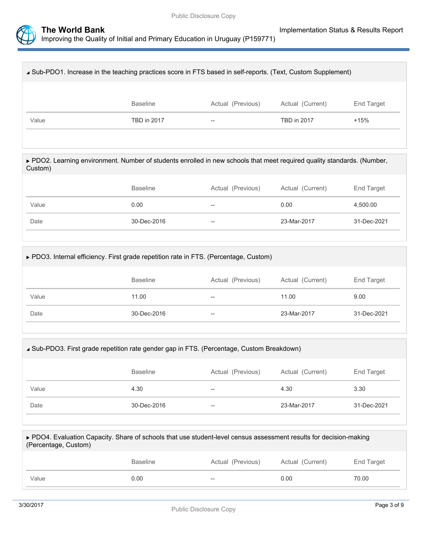

| ∡ Sub-PDO1. Increase in the teaching practices score in FTS based in self-reports. (Text, Custom Supplement) |                 |                   |                    |                   |  |
|--------------------------------------------------------------------------------------------------------------|-----------------|-------------------|--------------------|-------------------|--|
|                                                                                                              | <b>Baseline</b> | Actual (Previous) | Actual (Current)   | <b>End Target</b> |  |
| Value                                                                                                        | TBD in 2017     | $\hspace{0.05cm}$ | <b>TBD in 2017</b> | $+15%$            |  |
|                                                                                                              |                 |                   |                    |                   |  |

▶ PDO2. Learning environment. Number of students enrolled in new schools that meet required quality standards. (Number, Custom)

|       | <b>Baseline</b> | Actual (Previous) | Actual (Current) | End Target  |
|-------|-----------------|-------------------|------------------|-------------|
| Value | 0.00            | $-$               | 0.00             | 4,500.00    |
| Date  | 30-Dec-2016     | $- -$             | 23-Mar-2017      | 31-Dec-2021 |

| ► PDO3. Internal efficiency. First grade repetition rate in FTS. (Percentage, Custom) |             |       |             |             |  |  |
|---------------------------------------------------------------------------------------|-------------|-------|-------------|-------------|--|--|
| <b>Baseline</b><br>Actual (Previous)<br>Actual (Current)<br>End Target                |             |       |             |             |  |  |
| Value                                                                                 | 11.00       | $- -$ | 11.00       | 9.00        |  |  |
| Date                                                                                  | 30-Dec-2016 | $- -$ | 23-Mar-2017 | 31-Dec-2021 |  |  |
|                                                                                       |             |       |             |             |  |  |

| ▲ Sub-PDO3. First grade repetition rate gender gap in FTS. (Percentage, Custom Breakdown) |             |    |             |             |  |  |
|-------------------------------------------------------------------------------------------|-------------|----|-------------|-------------|--|--|
| <b>Baseline</b><br>Actual (Previous)<br>Actual (Current)<br>End Target                    |             |    |             |             |  |  |
| Value                                                                                     | 4.30        | -- | 4.30        | 3.30        |  |  |
| Date                                                                                      | 30-Dec-2016 | -- | 23-Mar-2017 | 31-Dec-2021 |  |  |

| ► PDO4. Evaluation Capacity. Share of schools that use student-level census assessment results for decision-making<br>(Percentage, Custom) |                 |                   |                  |            |  |  |
|--------------------------------------------------------------------------------------------------------------------------------------------|-----------------|-------------------|------------------|------------|--|--|
|                                                                                                                                            | <b>Baseline</b> | Actual (Previous) | Actual (Current) | End Target |  |  |
| Value                                                                                                                                      | 0.00            |                   | 0.00             | 70.00      |  |  |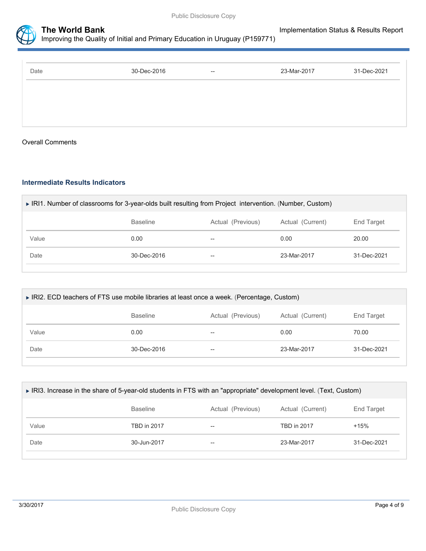



| Date | 30-Dec-2016 | $- -$ | 23-Mar-2017 | 31-Dec-2021 |
|------|-------------|-------|-------------|-------------|
|      |             |       |             |             |
|      |             |       |             |             |
|      |             |       |             |             |

#### Overall Comments

#### **Intermediate Results Indicators**

| ▶ IRI1. Number of classrooms for 3-year-olds built resulting from Project intervention. (Number, Custom) |      |    |      |       |  |  |  |
|----------------------------------------------------------------------------------------------------------|------|----|------|-------|--|--|--|
| <b>Baseline</b><br>Actual (Previous)<br>Actual (Current)<br><b>End Target</b>                            |      |    |      |       |  |  |  |
| Value                                                                                                    | 0.00 | -- | 0.00 | 20.00 |  |  |  |
| Date<br>30-Dec-2016<br>23-Mar-2017<br>31-Dec-2021<br>--                                                  |      |    |      |       |  |  |  |
|                                                                                                          |      |    |      |       |  |  |  |

| ► IRI2. ECD teachers of FTS use mobile libraries at least once a week. (Percentage, Custom) |      |    |      |       |  |  |
|---------------------------------------------------------------------------------------------|------|----|------|-------|--|--|
| <b>Baseline</b><br>Actual (Previous)<br>Actual (Current)<br>End Target                      |      |    |      |       |  |  |
| Value                                                                                       | 0.00 | -- | 0.00 | 70.00 |  |  |
| Date<br>30-Dec-2016<br>23-Mar-2017<br>31-Dec-2021<br>--                                     |      |    |      |       |  |  |
|                                                                                             |      |    |      |       |  |  |

| ► IRI3. Increase in the share of 5-year-old students in FTS with an "appropriate" development level. (Text, Custom) |                 |                   |                  |             |  |
|---------------------------------------------------------------------------------------------------------------------|-----------------|-------------------|------------------|-------------|--|
|                                                                                                                     | <b>Baseline</b> | Actual (Previous) | Actual (Current) | End Target  |  |
| Value                                                                                                               | TBD in 2017     | --                | TBD in 2017      | $+15%$      |  |
| Date                                                                                                                | 30-Jun-2017     | --                | 23-Mar-2017      | 31-Dec-2021 |  |
|                                                                                                                     |                 |                   |                  |             |  |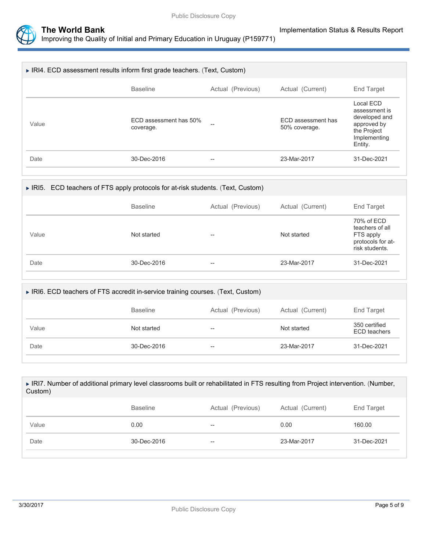

| ৴ |                                                                         |                                     |                   |                                     |                                                                                                      |
|---|-------------------------------------------------------------------------|-------------------------------------|-------------------|-------------------------------------|------------------------------------------------------------------------------------------------------|
|   |                                                                         |                                     |                   |                                     |                                                                                                      |
|   | RI4. ECD assessment results inform first grade teachers. (Text, Custom) |                                     |                   |                                     |                                                                                                      |
|   |                                                                         | <b>Baseline</b>                     | Actual (Previous) | Actual (Current)                    | End Target                                                                                           |
|   | Value                                                                   | ECD assessment has 50%<br>coverage. |                   | ECD assessment has<br>50% coverage. | Local ECD<br>assessment is<br>developed and<br>approved by<br>the Project<br>Implementing<br>Entity. |

Date 2016 30-Dec-2016 -- 23-Mar-2017 31-Dec-2021

## IRI5. ECD teachers of FTS apply protocols for at-risk students. (Text, Custom)

|       | <b>Baseline</b> | Actual (Previous) | Actual (Current) | End Target                                                                        |
|-------|-----------------|-------------------|------------------|-----------------------------------------------------------------------------------|
| Value | Not started     | --                | Not started      | 70% of ECD<br>teachers of all<br>FTS apply<br>protocols for at-<br>risk students. |
| Date  | 30-Dec-2016     | --                | 23-Mar-2017      | 31-Dec-2021                                                                       |

| ▶ IRI6. ECD teachers of FTS accredit in-service training courses. (Text, Custom) |                   |                  |                                      |  |  |
|----------------------------------------------------------------------------------|-------------------|------------------|--------------------------------------|--|--|
| <b>Baseline</b>                                                                  | Actual (Previous) | Actual (Current) | <b>End Target</b>                    |  |  |
| Not started                                                                      | --                | Not started      | 350 certified<br><b>ECD</b> teachers |  |  |
| 30-Dec-2016                                                                      | --                | 23-Mar-2017      | 31-Dec-2021                          |  |  |
|                                                                                  |                   |                  |                                      |  |  |

| ► IRI7. Number of additional primary level classrooms built or rehabilitated in FTS resulting from Project intervention. (Number,<br>Custom) |                 |                   |                  |             |  |
|----------------------------------------------------------------------------------------------------------------------------------------------|-----------------|-------------------|------------------|-------------|--|
|                                                                                                                                              | <b>Baseline</b> | Actual (Previous) | Actual (Current) | End Target  |  |
| Value                                                                                                                                        | 0.00            |                   | 0.00             | 160.00      |  |
| Date                                                                                                                                         | 30-Dec-2016     | --                | 23-Mar-2017      | 31-Dec-2021 |  |
|                                                                                                                                              |                 |                   |                  |             |  |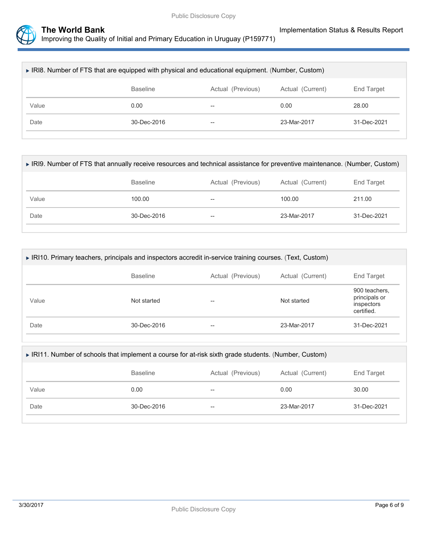

| ▶ IRI8. Number of FTS that are equipped with physical and educational equipment. (Number, Custom) |                   |                          |                  |             |  |
|---------------------------------------------------------------------------------------------------|-------------------|--------------------------|------------------|-------------|--|
|                                                                                                   | <b>Baseline</b>   | Actual (Previous)        | Actual (Current) | End Target  |  |
| Value                                                                                             | 0.00              | $\overline{\phantom{m}}$ | 0.00             | 28.00       |  |
| Date                                                                                              | $30 - Dec - 2016$ | $\overline{\phantom{a}}$ | 23-Mar-2017      | 31-Dec-2021 |  |
|                                                                                                   |                   |                          |                  |             |  |

| ► IRI9. Number of FTS that annually receive resources and technical assistance for preventive maintenance. (Number, Custom) |                   |                   |                  |             |  |
|-----------------------------------------------------------------------------------------------------------------------------|-------------------|-------------------|------------------|-------------|--|
|                                                                                                                             | <b>Baseline</b>   | Actual (Previous) | Actual (Current) | End Target  |  |
| Value                                                                                                                       | 100.00            | --                | 100.00           | 211.00      |  |
| Date                                                                                                                        | $30 - Dec - 2016$ | $- -$             | 23-Mar-2017      | 31-Dec-2021 |  |
|                                                                                                                             |                   |                   |                  |             |  |

| ▶ IRI10. Primary teachers, principals and inspectors accredit in-service training courses. (Text, Custom) |                 |                   |                  |                                                            |  |
|-----------------------------------------------------------------------------------------------------------|-----------------|-------------------|------------------|------------------------------------------------------------|--|
|                                                                                                           | <b>Baseline</b> | Actual (Previous) | Actual (Current) | End Target                                                 |  |
| Value                                                                                                     | Not started     | --                | Not started      | 900 teachers,<br>principals or<br>inspectors<br>certified. |  |
| Date                                                                                                      | 30-Dec-2016     | --                | 23-Mar-2017      | 31-Dec-2021                                                |  |
|                                                                                                           |                 |                   |                  |                                                            |  |

| ▶ IRI11. Number of schools that implement a course for at-risk sixth grade students. (Number, Custom) |                 |                   |                  |                   |  |  |
|-------------------------------------------------------------------------------------------------------|-----------------|-------------------|------------------|-------------------|--|--|
|                                                                                                       | <b>Baseline</b> | Actual (Previous) | Actual (Current) | <b>End Target</b> |  |  |
| Value                                                                                                 | 0.00            | $- -$             | 0.00             | 30.00             |  |  |
| Date                                                                                                  | 30-Dec-2016     | $-$               | 23-Mar-2017      | 31-Dec-2021       |  |  |
|                                                                                                       |                 |                   |                  |                   |  |  |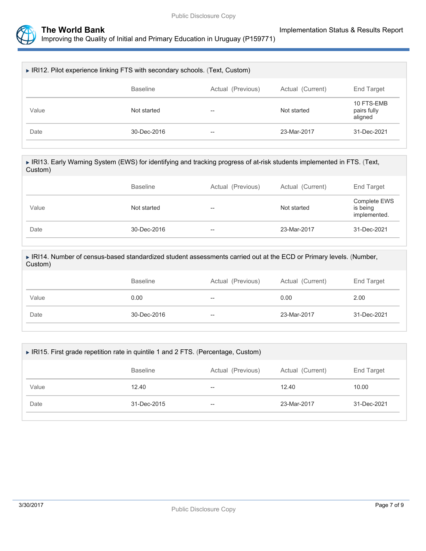

| ▶ IRI12. Pilot experience linking FTS with secondary schools. (Text, Custom) |                 |                   |                  |                                      |  |
|------------------------------------------------------------------------------|-----------------|-------------------|------------------|--------------------------------------|--|
|                                                                              | <b>Baseline</b> | Actual (Previous) | Actual (Current) | End Target                           |  |
| Value                                                                        | Not started     | $- -$             | Not started      | 10 FTS-EMB<br>pairs fully<br>aligned |  |
| Date                                                                         | 30-Dec-2016     | $- -$             | 23-Mar-2017      | 31-Dec-2021                          |  |

| ► IRI13. Early Warning System (EWS) for identifying and tracking progress of at-risk students implemented in FTS. (Text,<br>Custom) |
|-------------------------------------------------------------------------------------------------------------------------------------|
|                                                                                                                                     |

|       | <b>Baseline</b> | Actual (Previous) | Actual (Current) | End Target                               |
|-------|-----------------|-------------------|------------------|------------------------------------------|
| Value | Not started     | $-$               | Not started      | Complete EWS<br>is being<br>implemented. |
| Date  | 30-Dec-2016     | $-$               | 23-Mar-2017      | 31-Dec-2021                              |

 IRI14. Number of census-based standardized student assessments carried out at the ECD or Primary levels. (Number, Custom)

|       | <b>Baseline</b> | Actual (Previous) | Actual (Current) | End Target  |
|-------|-----------------|-------------------|------------------|-------------|
| Value | 0.00            | $-\!$             | 0.00             | 2.00        |
| Date  | 30-Dec-2016     | $- -$             | 23-Mar-2017      | 31-Dec-2021 |

| ► IRI15. First grade repetition rate in quintile 1 and 2 FTS. (Percentage, Custom) |                   |                          |             |             |  |  |  |
|------------------------------------------------------------------------------------|-------------------|--------------------------|-------------|-------------|--|--|--|
|                                                                                    | <b>Baseline</b>   | End Target               |             |             |  |  |  |
| Value                                                                              | 12.40             | $- -$                    | 12.40       | 10.00       |  |  |  |
| Date                                                                               | $31 - Dec - 2015$ | $\overline{\phantom{a}}$ | 23-Mar-2017 | 31-Dec-2021 |  |  |  |
|                                                                                    |                   |                          |             |             |  |  |  |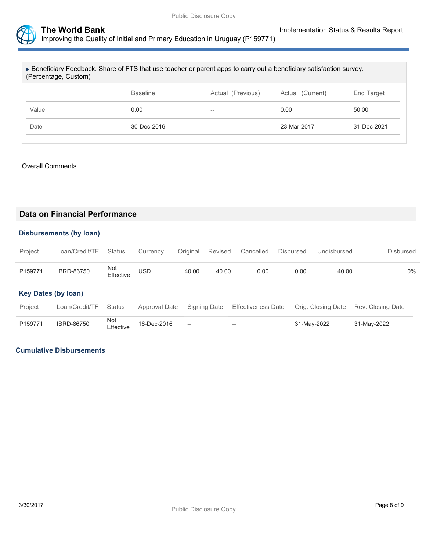

| ► Beneficiary Feedback. Share of FTS that use teacher or parent apps to carry out a beneficiary satisfaction survey.<br>(Percentage, Custom) |                   |                   |                  |             |  |  |
|----------------------------------------------------------------------------------------------------------------------------------------------|-------------------|-------------------|------------------|-------------|--|--|
|                                                                                                                                              | <b>Baseline</b>   | Actual (Previous) | Actual (Current) | End Target  |  |  |
| Value                                                                                                                                        | 0.00              | $- -$             | 0.00             | 50.00       |  |  |
| Date                                                                                                                                         | $30 - Dec - 2016$ | $-$               | 23-Mar-2017      | 31-Dec-2021 |  |  |
|                                                                                                                                              |                   |                   |                  |             |  |  |

#### Overall Comments

### **Data on Financial Performance**

#### **Disbursements (by loan)**

| Project | Loan/Credit/TF Status Currency Original Revised Cancelled Disbursed Undisbursed |                  |            |       |       |      |      |       | <b>Disbursed</b> |
|---------|---------------------------------------------------------------------------------|------------------|------------|-------|-------|------|------|-------|------------------|
| P159771 | <b>IBRD-86750</b>                                                               | Not<br>Effective | <b>USD</b> | 40.00 | 40.00 | 0.00 | 0.00 | 40.00 | 0%               |

## **Key Dates (by loan)**

| Project | Loan/Credit/TF Status |                  |                   |                                                | Approval Date Signing Date Effectiveness Date Orig. Closing Date Rev. Closing Date |             |             |
|---------|-----------------------|------------------|-------------------|------------------------------------------------|------------------------------------------------------------------------------------|-------------|-------------|
| P159771 | <b>IBRD-86750</b>     | Not<br>Effective | $16 - Dec - 2016$ | $\hspace{0.1mm}-\hspace{0.1mm}-\hspace{0.1mm}$ | $\sim$                                                                             | 31-May-2022 | 31-May-2022 |

#### **Cumulative Disbursements**